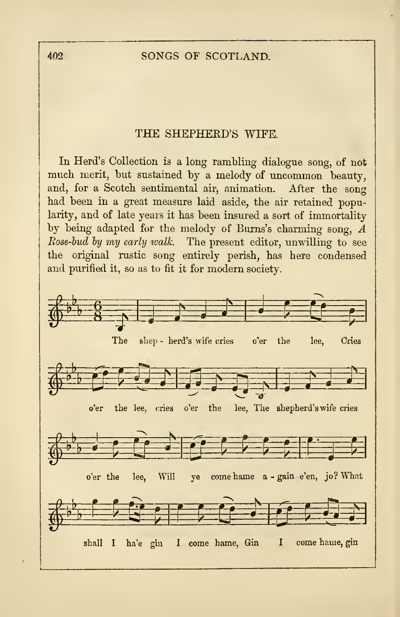## <sup>402</sup> SONGS OF SCOTLAND.

## THE SHEPHEKD'S WIFE.

In Herd's Collection is a long rambling dialogue song, of not much merit, but sustained by <sup>a</sup> melody of uncommon beauty, and, for a Scotch sentimental air, animation. After the song had been in a great measure laid aside, the air retained popularity, and of late years it has been insured a sort of immortality by being adapted for the melody of Burns's charming song, A Rose-bud by my early walk. The present editor, unwilling to see the original rustic song entirely perish, has here condensed and purified it, so as to fit it for modern society.